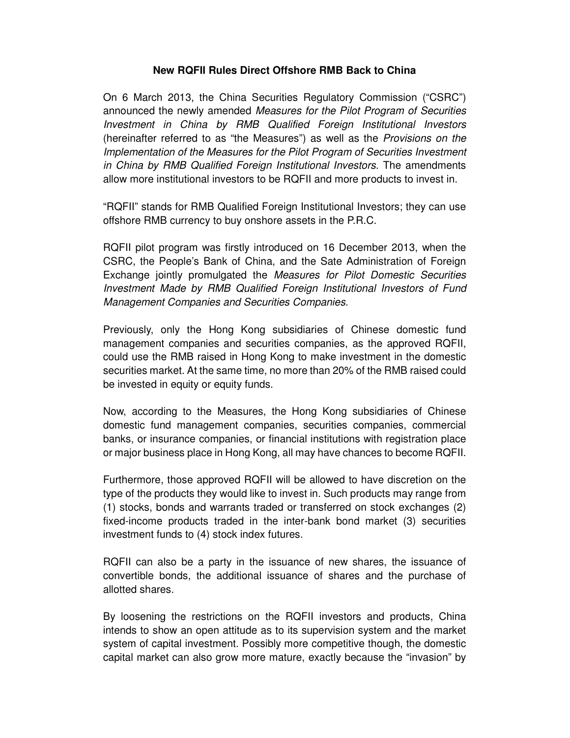## **New RQFII Rules Direct Offshore RMB Back to China**

On 6 March 2013, the China Securities Regulatory Commission ("CSRC") announced the newly amended Measures for the Pilot Program of Securities Investment in China by RMB Qualified Foreign Institutional Investors (hereinafter referred to as "the Measures") as well as the Provisions on the Implementation of the Measures for the Pilot Program of Securities Investment in China by RMB Qualified Foreign Institutional Investors. The amendments allow more institutional investors to be RQFII and more products to invest in.

"RQFII" stands for RMB Qualified Foreign Institutional Investors; they can use offshore RMB currency to buy onshore assets in the P.R.C.

RQFII pilot program was firstly introduced on 16 December 2013, when the CSRC, the People's Bank of China, and the Sate Administration of Foreign Exchange jointly promulgated the Measures for Pilot Domestic Securities Investment Made by RMB Qualified Foreign Institutional Investors of Fund Management Companies and Securities Companies.

Previously, only the Hong Kong subsidiaries of Chinese domestic fund management companies and securities companies, as the approved RQFII, could use the RMB raised in Hong Kong to make investment in the domestic securities market. At the same time, no more than 20% of the RMB raised could be invested in equity or equity funds.

Now, according to the Measures, the Hong Kong subsidiaries of Chinese domestic fund management companies, securities companies, commercial banks, or insurance companies, or financial institutions with registration place or major business place in Hong Kong, all may have chances to become RQFII.

Furthermore, those approved RQFII will be allowed to have discretion on the type of the products they would like to invest in. Such products may range from (1) stocks, bonds and warrants traded or transferred on stock exchanges (2) fixed-income products traded in the inter-bank bond market (3) securities investment funds to (4) stock index futures.

RQFII can also be a party in the issuance of new shares, the issuance of convertible bonds, the additional issuance of shares and the purchase of allotted shares.

By loosening the restrictions on the RQFII investors and products, China intends to show an open attitude as to its supervision system and the market system of capital investment. Possibly more competitive though, the domestic capital market can also grow more mature, exactly because the "invasion" by